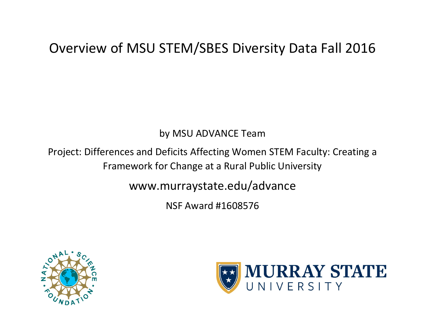#### by MSU ADVANCE Team

Project: Differences and Deficits Affecting Women STEM Faculty: Creating a Framework for Change at a Rural Public University

www.murraystate.edu/advance

NSF Award #1608576



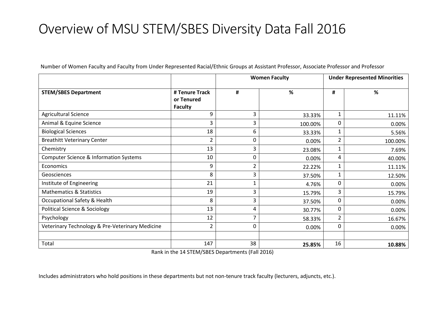| Number of Women Faculty and Faculty from Under Represented Racial/Ethnic Groups at Assistant Professor, Associate Professor and Professor |
|-------------------------------------------------------------------------------------------------------------------------------------------|
|-------------------------------------------------------------------------------------------------------------------------------------------|

|                                                 |                                                | <b>Women Faculty</b> |         | <b>Under Represented Minorities</b> |         |
|-------------------------------------------------|------------------------------------------------|----------------------|---------|-------------------------------------|---------|
| <b>STEM/SBES Department</b>                     | # Tenure Track<br>or Tenured<br><b>Faculty</b> | #                    | %       | #                                   | %       |
| <b>Agricultural Science</b>                     | 9                                              | 3                    | 33.33%  | 1                                   | 11.11%  |
| Animal & Equine Science                         | 3                                              | 3                    | 100.00% | $\mathbf{0}$                        | 0.00%   |
| <b>Biological Sciences</b>                      | 18                                             | 6                    | 33.33%  | 1                                   | 5.56%   |
| <b>Breathitt Veterinary Center</b>              | 2                                              | 0                    | 0.00%   | $\overline{2}$                      | 100.00% |
| Chemistry                                       | 13                                             | 3                    | 23.08%  | 1                                   | 7.69%   |
| Computer Science & Information Systems          | 10                                             | 0                    | 0.00%   | 4                                   | 40.00%  |
| Economics                                       | 9                                              |                      | 22.22%  | 1                                   | 11.11%  |
| Geosciences                                     | 8                                              | 3                    | 37.50%  | 1                                   | 12.50%  |
| Institute of Engineering                        | 21                                             | 1                    | 4.76%   | 0                                   | 0.00%   |
| <b>Mathematics &amp; Statistics</b>             | 19                                             | 3                    | 15.79%  | 3                                   | 15.79%  |
| <b>Occupational Safety &amp; Health</b>         | 8                                              | 3                    | 37.50%  | 0                                   | 0.00%   |
| <b>Political Science &amp; Sociology</b>        | 13                                             | 4                    | 30.77%  | 0                                   | 0.00%   |
| Psychology                                      | 12                                             |                      | 58.33%  | 2                                   | 16.67%  |
| Veterinary Technology & Pre-Veterinary Medicine | $\overline{2}$                                 | 0                    | 0.00%   | 0                                   | 0.00%   |
|                                                 |                                                |                      |         |                                     |         |
| Total                                           | 147                                            | 38                   | 25.85%  | 16                                  | 10.88%  |

Rank in the 14 STEM/SBES Departments (Fall 2016)

Includes administrators who hold positions in these departments but not non-tenure track faculty (lecturers, adjuncts, etc.).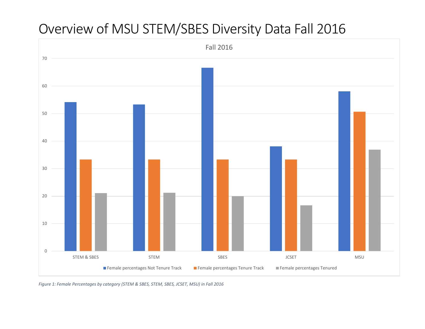

*Figure 1: Female Percentages by category (STEM & SBES, STEM, SBES, JCSET, MSU) in Fall 2016*